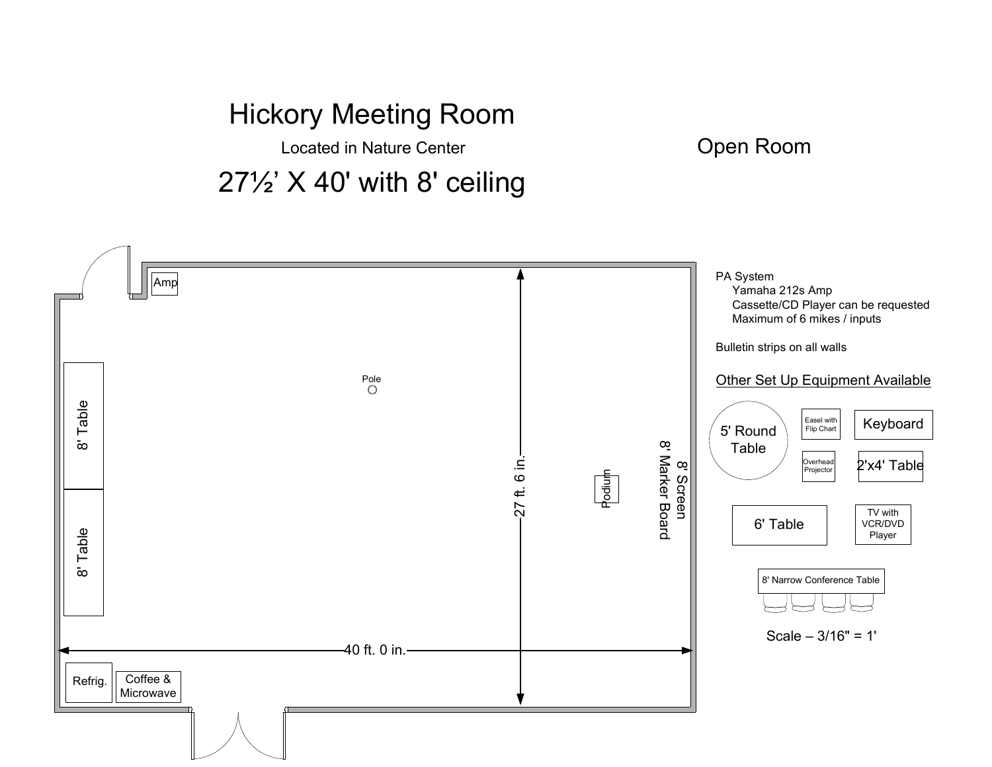Located in Nature Center

27½' X 40' with 8' ceiling



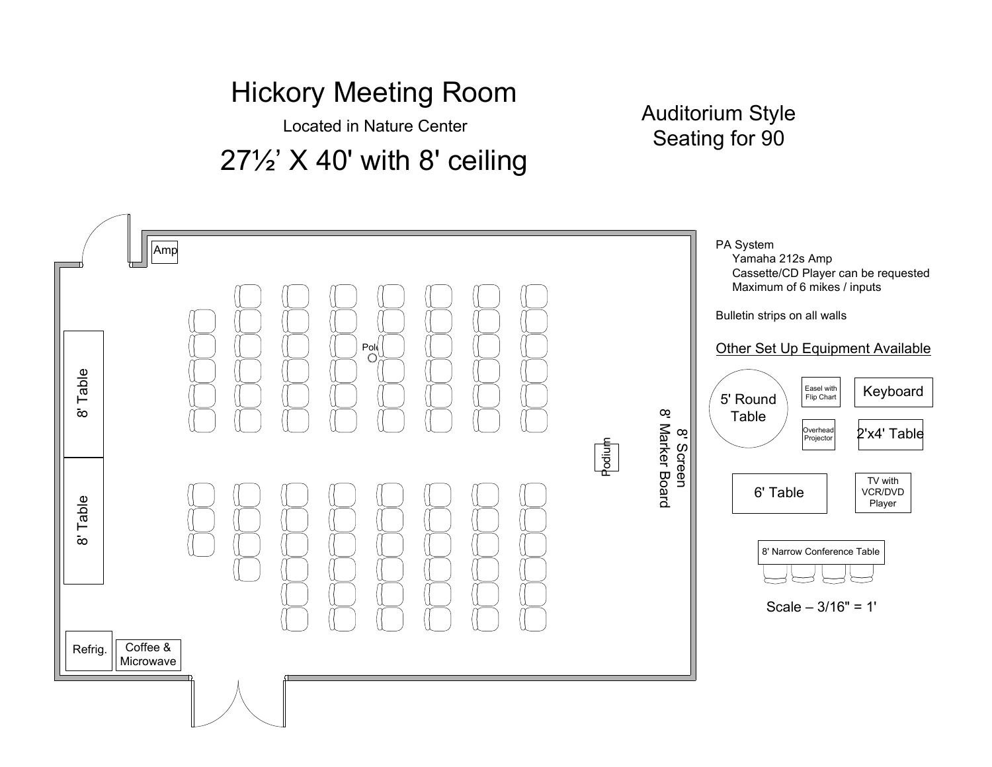Located in Nature Center

27½' X 40' with 8' ceiling

Auditorium StyleSeating for 90

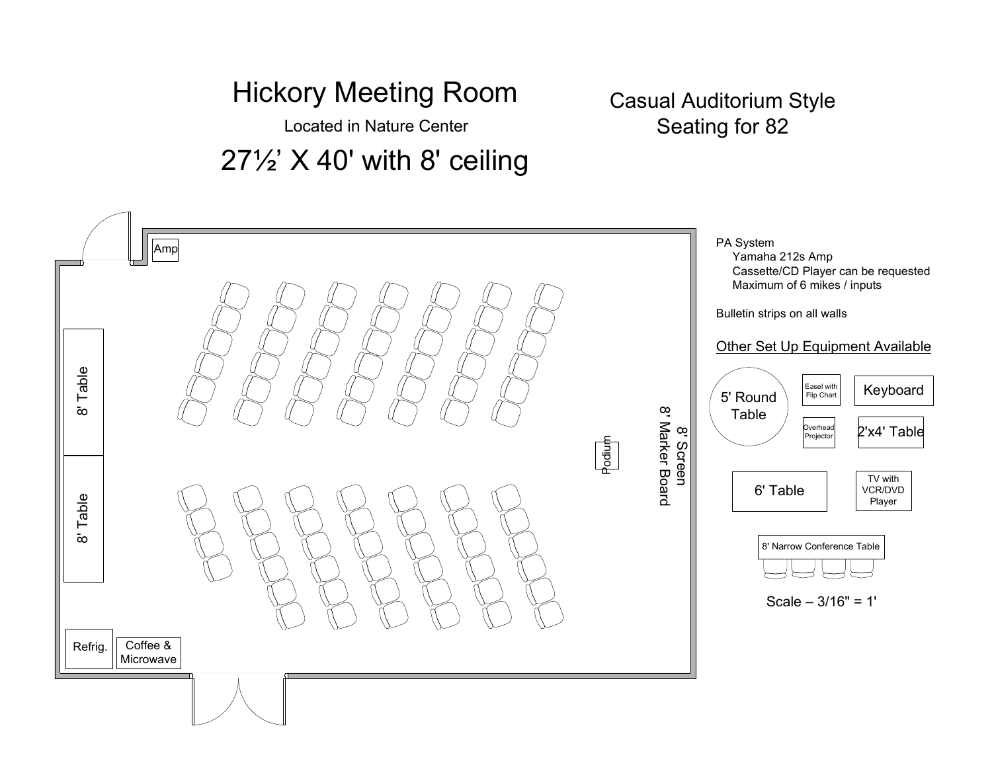Located in Nature Center

27½' X 40' with 8' ceiling

#### Casual Auditorium StyleSeating for 82

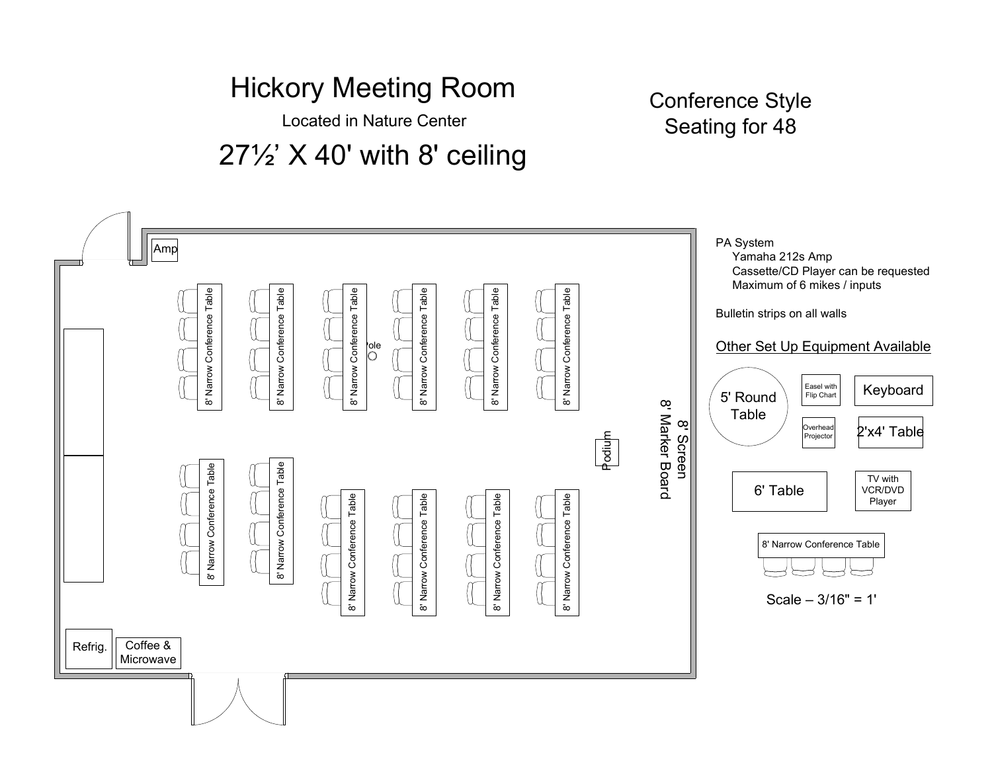Located in Nature Center

## 27½' X 40' with 8' ceiling

#### Conference StyleSeating for 48

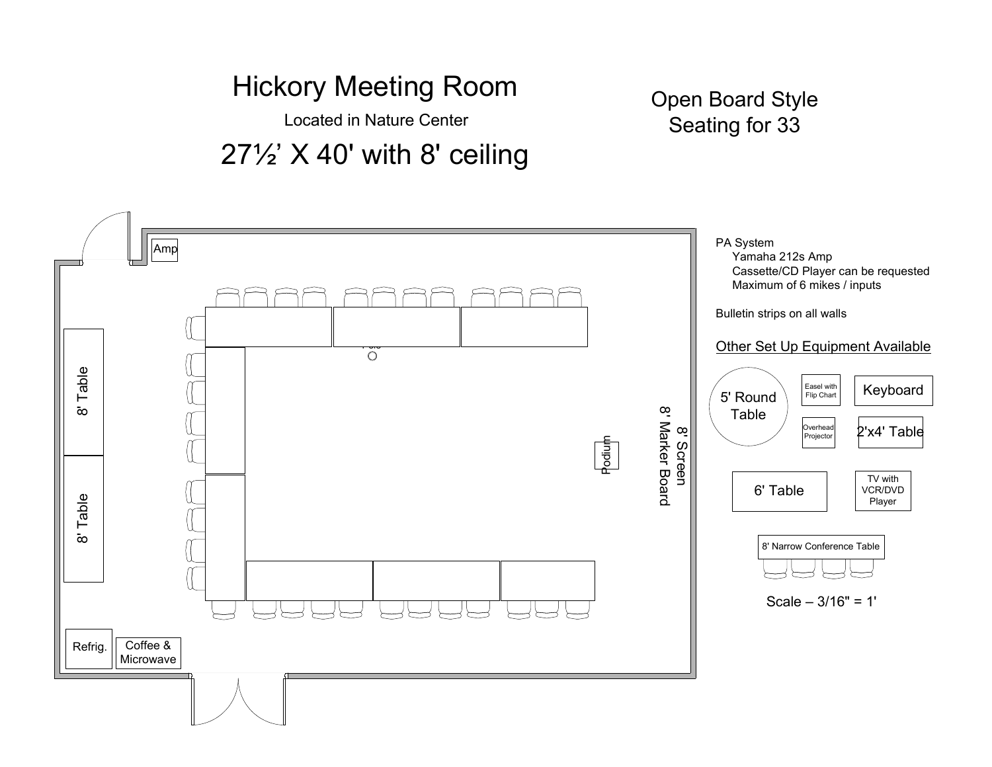## Hickory Meeting RoomLocated in Nature Center

## 27½' X 40' with 8' ceiling

#### Open Board StyleSeating for 33

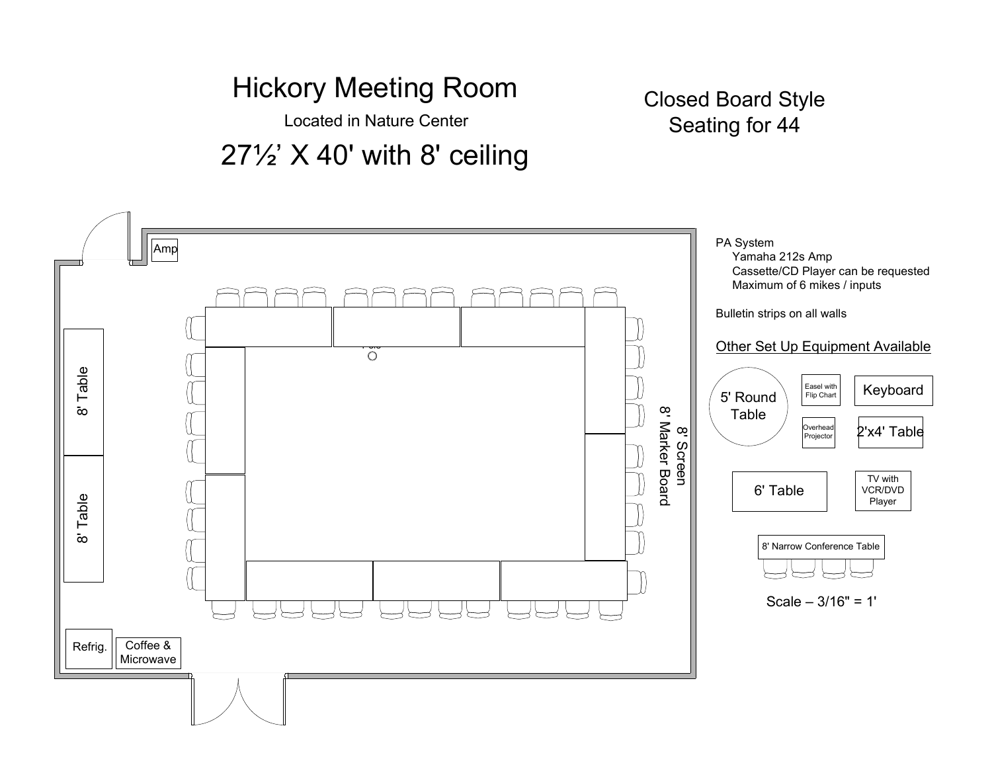Located in Nature Center

### 27½' X 40' with 8' ceiling

#### Closed Board StyleSeating for 44

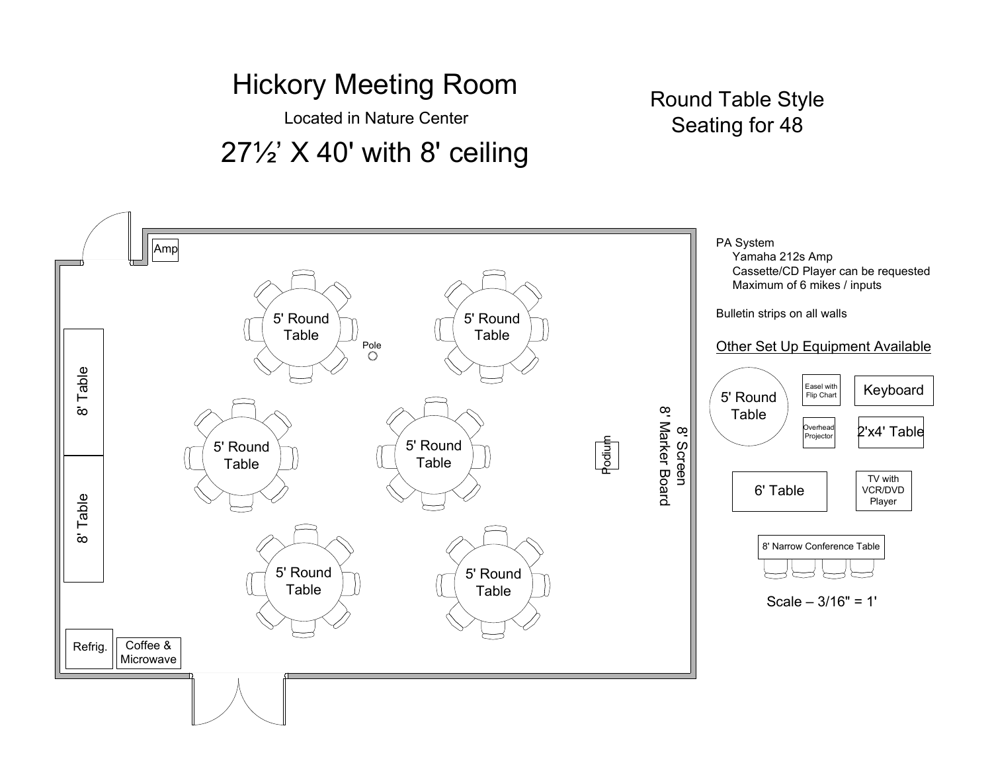#### Hickory Meeting RoomLocated in Nature Center

## 27½' X 40' with 8' ceiling

#### Round Table StyleSeating for 48

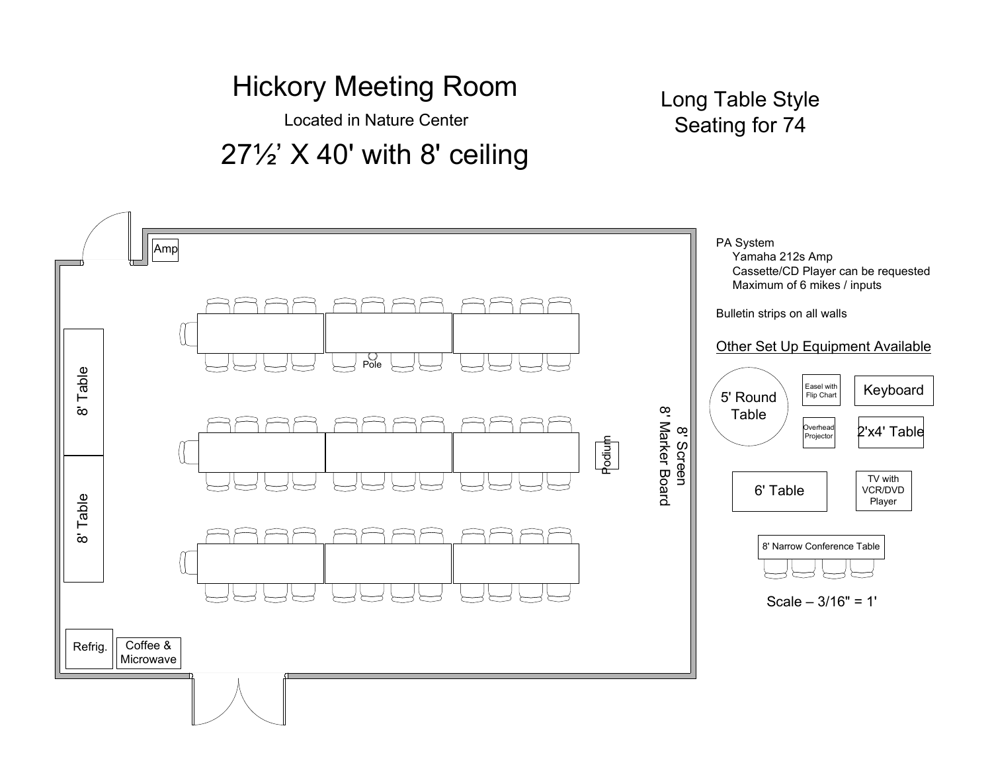Located in Nature Center

## 27½' X 40' with 8' ceiling

Long Table StyleSeating for 74